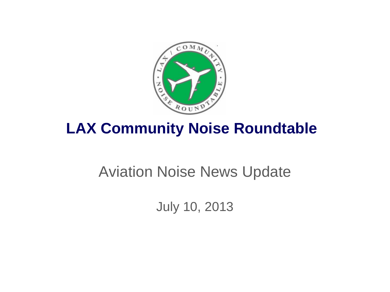

## **LAX Community Noise Roundtable**

# Aviation Noise News Update

July 10, 2013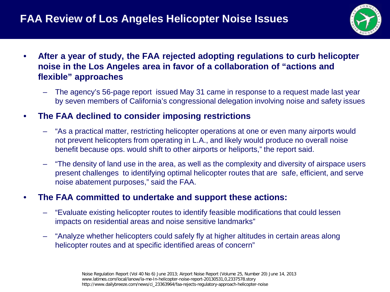

- **After a year of study, the FAA rejected adopting regulations to curb helicopter noise in the Los Angeles area in favor of a collaboration of "actions and flexible" approaches**
	- The agency's 56-page report issued May 31 came in response to a request made last year by seven members of California's congressional delegation involving noise and safety issues
- **The FAA declined to consider imposing restrictions**
	- "As a practical matter, restricting helicopter operations at one or even many airports would not prevent helicopters from operating in L.A., and likely would produce no overall noise benefit because ops. would shift to other airports or heliports," the report said.
	- "The density of land use in the area, as well as the complexity and diversity of airspace users present challenges to identifying optimal helicopter routes that are safe, efficient, and serve noise abatement purposes," said the FAA.

#### • **The FAA committed to undertake and support these actions:**

- "Evaluate existing helicopter routes to identify feasible modifications that could lessen impacts on residential areas and noise sensitive landmarks"
- "Analyze whether helicopters could safely fly at higher altitudes in certain areas along helicopter routes and at specific identified areas of concern"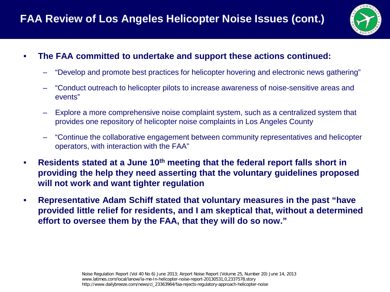

#### • **The FAA committed to undertake and support these actions continued:**

- "Develop and promote best practices for helicopter hovering and electronic news gathering"
- "Conduct outreach to helicopter pilots to increase awareness of noise-sensitive areas and events"
- Explore a more comprehensive noise complaint system, such as a centralized system that provides one repository of helicopter noise complaints in Los Angeles County
- "Continue the collaborative engagement between community representatives and helicopter operators, with interaction with the FAA"
- **Residents stated at a June 10th meeting that the federal report falls short in providing the help they need asserting that the voluntary guidelines proposed will not work and want tighter regulation**
- **Representative Adam Schiff stated that voluntary measures in the past "have provided little relief for residents, and I am skeptical that, without a determined effort to oversee them by the FAA, that they will do so now."**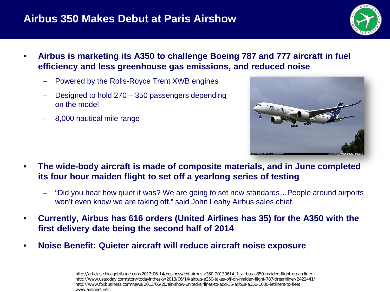### **Airbus 350 Makes Debut at Paris Airshow**



- **Airbus is marketing its A350 to challenge Boeing 787 and 777 aircraft in fuel efficiency and less greenhouse gas emissions, and reduced noise**
	- Powered by the Rolls-Royce Trent XWB engines
	- Designed to hold 270 350 passengers depending on the model
	- 8,000 nautical mile range



- **The wide-body aircraft is made of composite materials, and in June completed its four hour maiden flight to set off a yearlong series of testing**
	- "Did you hear how quiet it was? We are going to set new standards…People around airports won't even know we are taking off," said John Leahy Airbus sales chief.
- **Currently, Airbus has 616 orders (United Airlines has 35) for the A350 with the first delivery date being the second half of 2014**
- **Noise Benefit: Quieter aircraft will reduce aircraft noise exposure**

http://articles.chicagotribune.com/2013-06-14/business/chi-airbus-a350-20130614\_1\_airbus-a350-maiden-flight-dreamliner http://www.usatoday.com/story/todayinthesky/2013/06/14/airbus-a350-takes-off-on-maiden-flight-787-dreamliner/2422441/ http://www.foxbusiness.com/news/2013/06/20/air-show-united-airlines-to-add-35-airbus-a350-1000-jetliners-to-fleet www.airliners.net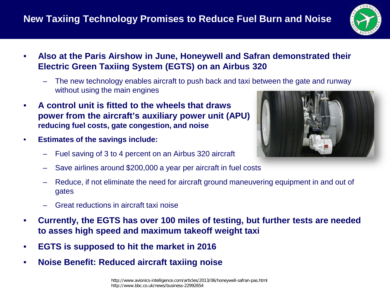### **New Taxiing Technology Promises to Reduce Fuel Burn and Noise**



- **Also at the Paris Airshow in June, Honeywell and Safran demonstrated their Electric Green Taxiing System (EGTS) on an Airbus 320**
	- The new technology enables aircraft to push back and taxi between the gate and runway without using the main engines
- **A control unit is fitted to the wheels that draws power from the aircraft's auxiliary power unit (APU) reducing fuel costs, gate congestion, and noise**
- **Estimates of the savings include:**
	- Fuel saving of 3 to 4 percent on an Airbus 320 aircraft
	- Save airlines around \$200,000 a year per aircraft in fuel costs
	- Reduce, if not eliminate the need for aircraft ground maneuvering equipment in and out of gates
	- Great reductions in aircraft taxi noise
- **Currently, the EGTS has over 100 miles of testing, but further tests are needed to asses high speed and maximum takeoff weight taxi**
- **EGTS is supposed to hit the market in 2016**
- **Noise Benefit: Reduced aircraft taxiing noise**

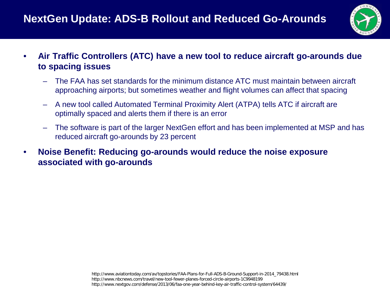## **NextGen Update: ADS-B Rollout and Reduced Go-Arounds**



- **Air Traffic Controllers (ATC) have a new tool to reduce aircraft go-arounds due to spacing issues**
	- The FAA has set standards for the minimum distance ATC must maintain between aircraft approaching airports; but sometimes weather and flight volumes can affect that spacing
	- A new tool called Automated Terminal Proximity Alert (ATPA) tells ATC if aircraft are optimally spaced and alerts them if there is an error
	- The software is part of the larger NextGen effort and has been implemented at MSP and has reduced aircraft go-arounds by 23 percent
- **Noise Benefit: Reducing go-arounds would reduce the noise exposure associated with go-arounds**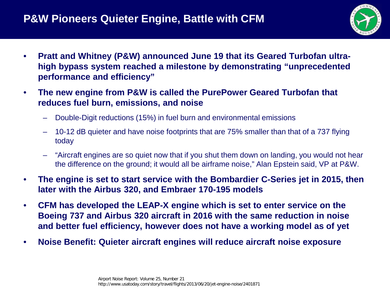### **P&W Pioneers Quieter Engine, Battle with CFM**



- **Pratt and Whitney (P&W) announced June 19 that its Geared Turbofan ultrahigh bypass system reached a milestone by demonstrating "unprecedented performance and efficiency"**
- **The new engine from P&W is called the PurePower Geared Turbofan that reduces fuel burn, emissions, and noise**
	- Double-Digit reductions (15%) in fuel burn and environmental emissions
	- 10-12 dB quieter and have noise footprints that are 75% smaller than that of a 737 flying today
	- "Aircraft engines are so quiet now that if you shut them down on landing, you would not hear the difference on the ground; it would all be airframe noise," Alan Epstein said, VP at P&W.
- **The engine is set to start service with the Bombardier C-Series jet in 2015, then later with the Airbus 320, and Embraer 170-195 models**
- **CFM has developed the LEAP-X engine which is set to enter service on the Boeing 737 and Airbus 320 aircraft in 2016 with the same reduction in noise and better fuel efficiency, however does not have a working model as of yet**
- **Noise Benefit: Quieter aircraft engines will reduce aircraft noise exposure**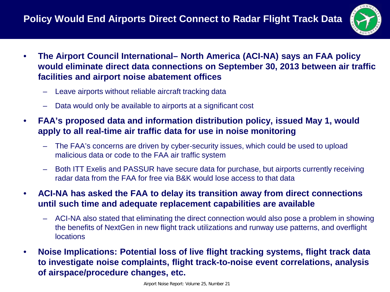

- **The Airport Council International– North America (ACI-NA) says an FAA policy would eliminate direct data connections on September 30, 2013 between air traffic facilities and airport noise abatement offices**
	- Leave airports without reliable aircraft tracking data
	- Data would only be available to airports at a significant cost
- **FAA's proposed data and information distribution policy, issued May 1, would apply to all real-time air traffic data for use in noise monitoring**
	- The FAA's concerns are driven by cyber-security issues, which could be used to upload malicious data or code to the FAA air traffic system
	- Both ITT Exelis and PASSUR have secure data for purchase, but airports currently receiving radar data from the FAA for free via B&K would lose access to that data
- **ACI-NA has asked the FAA to delay its transition away from direct connections until such time and adequate replacement capabilities are available**
	- ACI-NA also stated that eliminating the direct connection would also pose a problem in showing the benefits of NextGen in new flight track utilizations and runway use patterns, and overflight locations
- **Noise Implications: Potential loss of live flight tracking systems, flight track data to investigate noise complaints, flight track-to-noise event correlations, analysis of airspace/procedure changes, etc.**